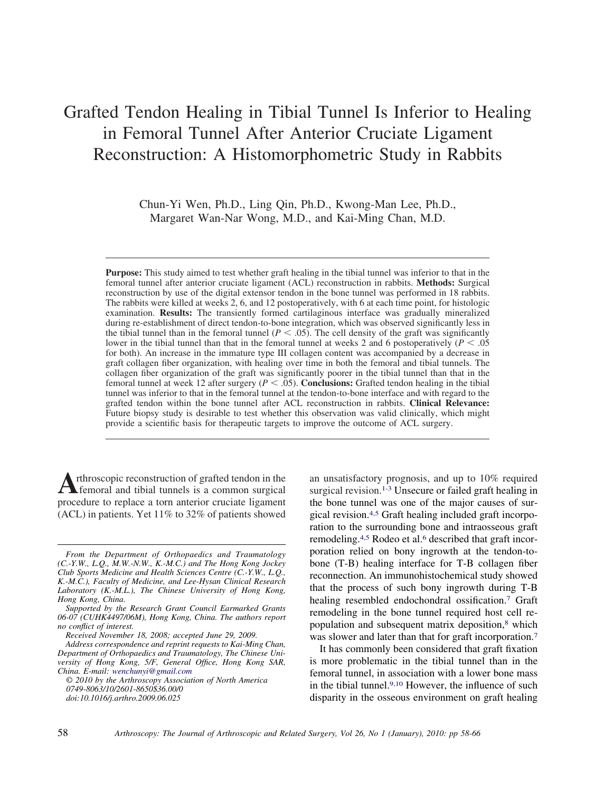# Grafted Tendon Healing in Tibial Tunnel Is Inferior to Healing in Femoral Tunnel After Anterior Cruciate Ligament Reconstruction: A Histomorphometric Study in Rabbits

Chun-Yi Wen, Ph.D., Ling Qin, Ph.D., Kwong-Man Lee, Ph.D., Margaret Wan-Nar Wong, M.D., and Kai-Ming Chan, M.D.

**Purpose:** This study aimed to test whether graft healing in the tibial tunnel was inferior to that in the femoral tunnel after anterior cruciate ligament (ACL) reconstruction in rabbits. **Methods:** Surgical reconstruction by use of the digital extensor tendon in the bone tunnel was performed in 18 rabbits. The rabbits were killed at weeks 2, 6, and 12 postoperatively, with 6 at each time point, for histologic examination. **Results:** The transiently formed cartilaginous interface was gradually mineralized during re-establishment of direct tendon-to-bone integration, which was observed significantly less in the tibial tunnel than in the femoral tunnel  $(P < .05)$ . The cell density of the graft was significantly lower in the tibial tunnel than that in the femoral tunnel at weeks 2 and 6 postoperatively ( $P < .05$ ) for both). An increase in the immature type III collagen content was accompanied by a decrease in graft collagen fiber organization, with healing over time in both the femoral and tibial tunnels. The collagen fiber organization of the graft was significantly poorer in the tibial tunnel than that in the femoral tunnel at week 12 after surgery  $(P < .05)$ . **Conclusions:** Grafted tendon healing in the tibial tunnel was inferior to that in the femoral tunnel at the tendon-to-bone interface and with regard to the grafted tendon within the bone tunnel after ACL reconstruction in rabbits. **Clinical Relevance:** Future biopsy study is desirable to test whether this observation was valid clinically, which might provide a scientific basis for therapeutic targets to improve the outcome of ACL surgery.

Arthroscopic reconstruction of grafted tendon in the femoral and tibial tunnels is a common surgical procedure to replace a torn anterior cruciate ligament (ACL) in patients. Yet 11% to 32% of patients showed

*© 2010 by the Arthroscopy Association of North America 0749-8063/10/2601-8650\$36.00/0 doi:10.1016/j.arthro.2009.06.025*

an unsatisfactory prognosis, and up to 10% required surgical revision.<sup>1-3</sup> Unsecure or failed graft healing in the bone tunnel was one of the major causes of surgical revision.4,5 Graft healing included graft incorporation to the surrounding bone and intraosseous graft remodeling.<sup>4,5</sup> Rodeo et al.<sup>6</sup> described that graft incorporation relied on bony ingrowth at the tendon-tobone (T-B) healing interface for T-B collagen fiber reconnection. An immunohistochemical study showed that the process of such bony ingrowth during T-B healing resembled endochondral ossification.7 Graft remodeling in the bone tunnel required host cell repopulation and subsequent matrix deposition,<sup>8</sup> which was slower and later than that for graft incorporation.<sup>7</sup>

It has commonly been considered that graft fixation is more problematic in the tibial tunnel than in the femoral tunnel, in association with a lower bone mass in the tibial tunnel.<sup>9,10</sup> However, the influence of such disparity in the osseous environment on graft healing

*From the Department of Orthopaedics and Traumatology (C.-Y.W., L.Q., M.W.-N.W., K.-M.C.) and The Hong Kong Jockey Club Sports Medicine and Health Sciences Centre (C.-Y.W., L.Q., K.-M.C.), Faculty of Medicine, and Lee-Hysan Clinical Research Laboratory (K.-M.L.), The Chinese University of Hong Kong, Hong Kong, China.*

*Supported by the Research Grant Council Earmarked Grants 06-07 (CUHK4497/06M), Hong Kong, China. The authors report no conflict of interest.*

*Received November 18, 2008; accepted June 29, 2009.*

*Address correspondence and reprint requests to Kai-Ming Chan, Department of Orthopaedics and Traumatology, The Chinese University of Hong Kong, 5/F, General Office, Hong Kong SAR, China. E-mail: [wenchunyi@gmail.com](mailto:wenchunyi@gmail.com)*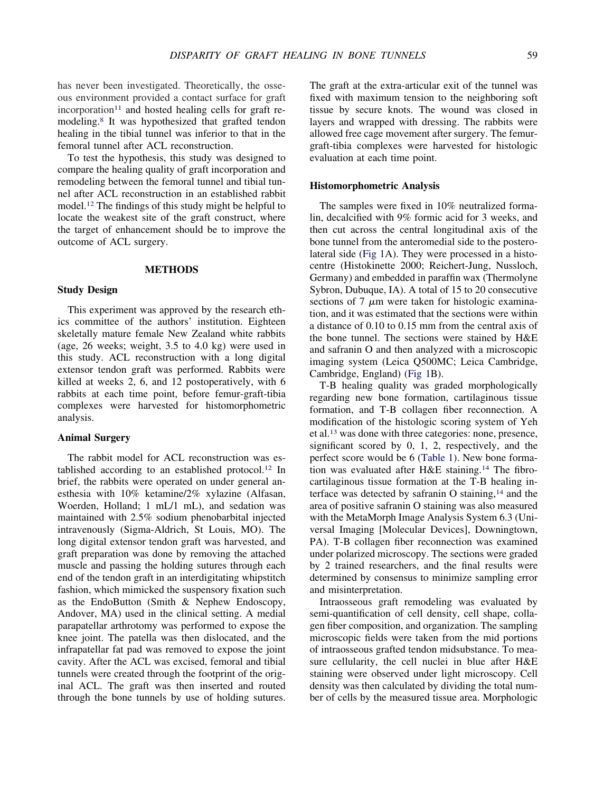has never been investigated. Theoretically, the osseous environment provided a contact surface for graft  $incorporation<sup>11</sup>$  and hosted healing cells for graft remodeling.8 It was hypothesized that grafted tendon healing in the tibial tunnel was inferior to that in the femoral tunnel after ACL reconstruction.

To test the hypothesis, this study was designed to compare the healing quality of graft incorporation and remodeling between the femoral tunnel and tibial tunnel after ACL reconstruction in an established rabbit model.12 The findings of this study might be helpful to locate the weakest site of the graft construct, where the target of enhancement should be to improve the outcome of ACL surgery.

## **METHODS**

#### **Study Design**

This experiment was approved by the research ethics committee of the authors' institution. Eighteen skeletally mature female New Zealand white rabbits (age, 26 weeks; weight, 3.5 to 4.0 kg) were used in this study. ACL reconstruction with a long digital extensor tendon graft was performed. Rabbits were killed at weeks 2, 6, and 12 postoperatively, with 6 rabbits at each time point, before femur-graft-tibia complexes were harvested for histomorphometric analysis.

#### **Animal Surgery**

The rabbit model for ACL reconstruction was established according to an established protocol.12 In brief, the rabbits were operated on under general anesthesia with 10% ketamine/2% xylazine (Alfasan, Woerden, Holland; 1 mL/1 mL), and sedation was maintained with 2.5% sodium phenobarbital injected intravenously (Sigma-Aldrich, St Louis, MO). The long digital extensor tendon graft was harvested, and graft preparation was done by removing the attached muscle and passing the holding sutures through each end of the tendon graft in an interdigitating whipstitch fashion, which mimicked the suspensory fixation such as the EndoButton (Smith & Nephew Endoscopy, Andover, MA) used in the clinical setting. A medial parapatellar arthrotomy was performed to expose the knee joint. The patella was then dislocated, and the infrapatellar fat pad was removed to expose the joint cavity. After the ACL was excised, femoral and tibial tunnels were created through the footprint of the original ACL. The graft was then inserted and routed through the bone tunnels by use of holding sutures. The graft at the extra-articular exit of the tunnel was fixed with maximum tension to the neighboring soft tissue by secure knots. The wound was closed in layers and wrapped with dressing. The rabbits were allowed free cage movement after surgery. The femurgraft-tibia complexes were harvested for histologic evaluation at each time point.

# **Histomorphometric Analysis**

The samples were fixed in 10% neutralized formalin, decalcified with 9% formic acid for 3 weeks, and then cut across the central longitudinal axis of the bone tunnel from the anteromedial side to the posterolateral side (Fig 1A). They were processed in a histocentre (Histokinette 2000; Reichert-Jung, Nussloch, Germany) and embedded in paraffin wax (Thermolyne Sybron, Dubuque, IA). A total of 15 to 20 consecutive sections of 7  $\mu$ m were taken for histologic examination, and it was estimated that the sections were within a distance of 0.10 to 0.15 mm from the central axis of the bone tunnel. The sections were stained by H&E and safranin O and then analyzed with a microscopic imaging system (Leica Q500MC; Leica Cambridge, Cambridge, England) (Fig 1B).

T-B healing quality was graded morphologically regarding new bone formation, cartilaginous tissue formation, and T-B collagen fiber reconnection. A modification of the histologic scoring system of Yeh et al.13 was done with three categories: none, presence, significant scored by 0, 1, 2, respectively, and the perfect score would be 6 (Table 1). New bone formation was evaluated after H&E staining.<sup>14</sup> The fibrocartilaginous tissue formation at the T-B healing interface was detected by safranin O staining, $14$  and the area of positive safranin O staining was also measured with the MetaMorph Image Analysis System 6.3 (Universal Imaging [Molecular Devices], Downingtown, PA). T-B collagen fiber reconnection was examined under polarized microscopy. The sections were graded by 2 trained researchers, and the final results were determined by consensus to minimize sampling error and misinterpretation.

Intraosseous graft remodeling was evaluated by semi-quantification of cell density, cell shape, collagen fiber composition, and organization. The sampling microscopic fields were taken from the mid portions of intraosseous grafted tendon midsubstance. To measure cellularity, the cell nuclei in blue after H&E staining were observed under light microscopy. Cell density was then calculated by dividing the total number of cells by the measured tissue area. Morphologic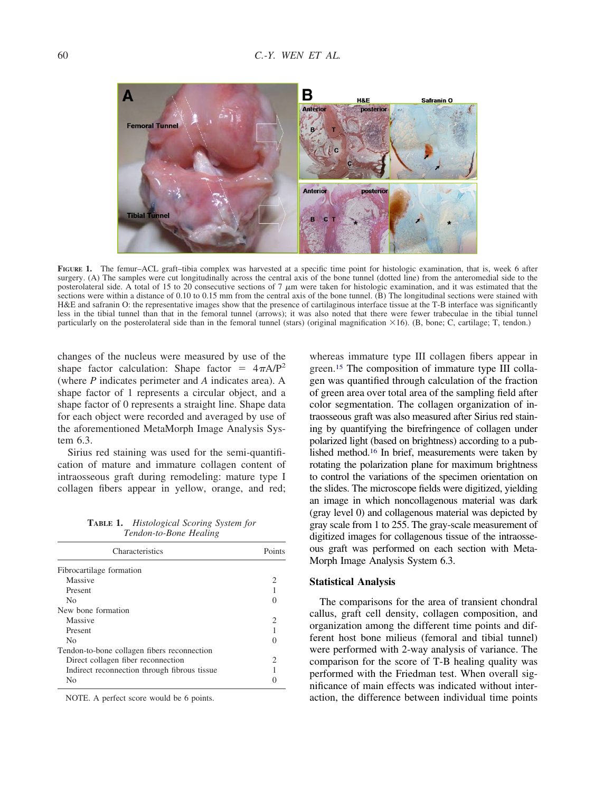

FIGURE 1. The femur–ACL graft–tibia complex was harvested at a specific time point for histologic examination, that is, week 6 after surgery. (A) The samples were cut longitudinally across the central axis of the bone tunnel (dotted line) from the anteromedial side to the posterolateral side. A total of 15 to 20 consecutive sections of 7  $\mu$ m were taken for histologic examination, and it was estimated that the sections were within a distance of 0.10 to 0.15 mm from the central axis of the bone tunnel. (B) The longitudinal sections were stained with H&E and safranin O: the representative images show that the presence of cartilaginous interface tissue at the T-B interface was significantly less in the tibial tunnel than that in the femoral tunnel (arrows); it was also noted that there were fewer trabeculae in the tibial tunnel particularly on the posterolateral side than in the femoral tunnel (stars) (original magnification  $\times$ 16). (B, bone; C, cartilage; T, tendon.)

changes of the nucleus were measured by use of the shape factor calculation: Shape factor =  $4\pi A/P^2$ (where *P* indicates perimeter and *A* indicates area). A shape factor of 1 represents a circular object, and a shape factor of 0 represents a straight line. Shape data for each object were recorded and averaged by use of the aforementioned MetaMorph Image Analysis System 6.3.

Sirius red staining was used for the semi-quantification of mature and immature collagen content of intraosseous graft during remodeling: mature type I collagen fibers appear in yellow, orange, and red;

**TABLE 1.** *Histological Scoring System for Tendon-to-Bone Healing*

| Characteristics                               | Points                      |  |
|-----------------------------------------------|-----------------------------|--|
| Fibrocartilage formation                      |                             |  |
| Massive                                       |                             |  |
| Present                                       |                             |  |
| No.                                           |                             |  |
| New bone formation                            |                             |  |
| Massive                                       | 2                           |  |
| Present                                       |                             |  |
| N <sub>0</sub>                                |                             |  |
| Tendon-to-bone collagen fibers reconnection   |                             |  |
| Direct collagen fiber reconnection            | $\mathcal{D}_{\mathcal{L}}$ |  |
| Indirect reconnection through fibrous tissue. |                             |  |
| N <sub>0</sub>                                |                             |  |

NOTE. A perfect score would be 6 points.

whereas immature type III collagen fibers appear in green.15 The composition of immature type III collagen was quantified through calculation of the fraction of green area over total area of the sampling field after color segmentation. The collagen organization of intraosseous graft was also measured after Sirius red staining by quantifying the birefringence of collagen under polarized light (based on brightness) according to a published method.16 In brief, measurements were taken by rotating the polarization plane for maximum brightness to control the variations of the specimen orientation on the slides. The microscope fields were digitized, yielding an image in which noncollagenous material was dark (gray level 0) and collagenous material was depicted by gray scale from 1 to 255. The gray-scale measurement of digitized images for collagenous tissue of the intraosseous graft was performed on each section with Meta-Morph Image Analysis System 6.3.

#### **Statistical Analysis**

The comparisons for the area of transient chondral callus, graft cell density, collagen composition, and organization among the different time points and different host bone milieus (femoral and tibial tunnel) were performed with 2-way analysis of variance. The comparison for the score of T-B healing quality was performed with the Friedman test. When overall significance of main effects was indicated without interaction, the difference between individual time points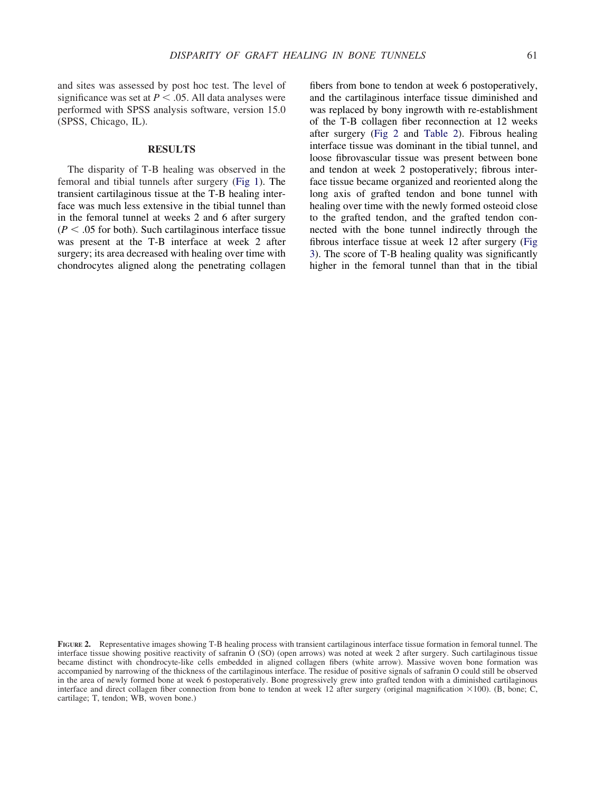and sites was assessed by post hoc test. The level of significance was set at  $P < .05$ . All data analyses were performed with SPSS analysis software, version 15.0 (SPSS, Chicago, IL).

## **RESULTS**

The disparity of T-B healing was observed in the femoral and tibial tunnels after surgery (Fig 1). The transient cartilaginous tissue at the T-B healing interface was much less extensive in the tibial tunnel than in the femoral tunnel at weeks 2 and 6 after surgery  $(P < .05$  for both). Such cartilaginous interface tissue was present at the T-B interface at week 2 after surgery; its area decreased with healing over time with chondrocytes aligned along the penetrating collagen fibers from bone to tendon at week 6 postoperatively, and the cartilaginous interface tissue diminished and was replaced by bony ingrowth with re-establishment of the T-B collagen fiber reconnection at 12 weeks after surgery (Fig 2 and Table 2). Fibrous healing interface tissue was dominant in the tibial tunnel, and loose fibrovascular tissue was present between bone and tendon at week 2 postoperatively; fibrous interface tissue became organized and reoriented along the long axis of grafted tendon and bone tunnel with healing over time with the newly formed osteoid close to the grafted tendon, and the grafted tendon connected with the bone tunnel indirectly through the fibrous interface tissue at week 12 after surgery (Fig 3). The score of T-B healing quality was significantly higher in the femoral tunnel than that in the tibial

**FIGURE 2.** Representative images showing T-B healing process with transient cartilaginous interface tissue formation in femoral tunnel. The interface tissue showing positive reactivity of safranin O (SO) (open arrows) was noted at week 2 after surgery. Such cartilaginous tissue became distinct with chondrocyte-like cells embedded in aligned collagen fibers (white arrow). Massive woven bone formation was accompanied by narrowing of the thickness of the cartilaginous interface. The residue of positive signals of safranin O could still be observed in the area of newly formed bone at week 6 postoperatively. Bone progressively grew into grafted tendon with a diminished cartilaginous interface and direct collagen fiber connection from bone to tendon at week 12 after surgery (original magnification  $\times 100$ ). (B, bone; C, cartilage; T, tendon; WB, woven bone.)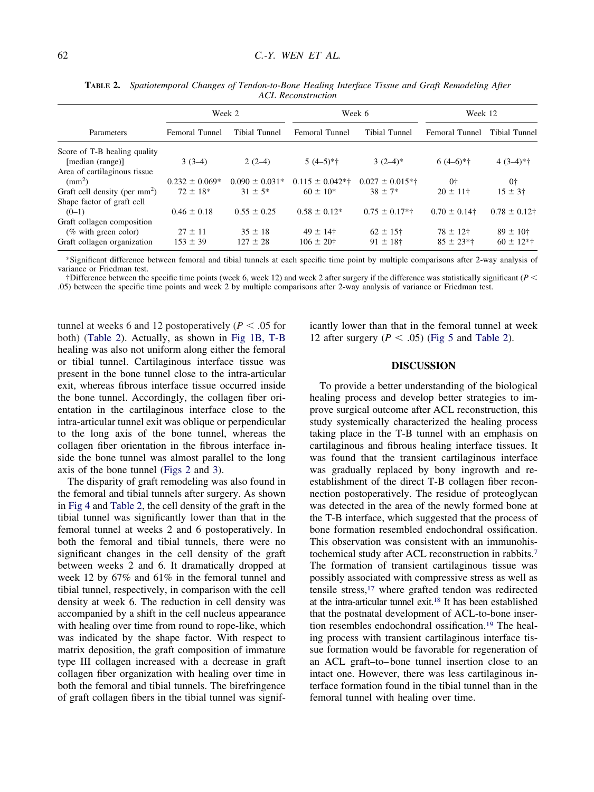| Parameters                      | Week 2             |                    | Week 6              |                      | Week 12           |                   |
|---------------------------------|--------------------|--------------------|---------------------|----------------------|-------------------|-------------------|
|                                 | Femoral Tunnel     | Tibial Tunnel      | Femoral Tunnel      | Tibial Tunnel        | Femoral Tunnel    | Tibial Tunnel     |
| Score of T-B healing quality    |                    |                    |                     |                      |                   |                   |
| [median (range)]                | $3(3-4)$           | $2(2-4)$           | $5(4-5)*+$          | $3(2-4)$ *           | $6(4-6)*†$        | $4(3-4)*+$        |
| Area of cartilaginous tissue    |                    |                    |                     |                      |                   |                   |
| $\text{mm}^2$ )                 | $0.232 \pm 0.069*$ | $0.090 \pm 0.031*$ | $0.115 \pm 0.042**$ | $0.027 \pm 0.015$ *† | $0+$              | 0†                |
| Graft cell density (per $mm2$ ) | $72 \pm 18*$       | $31 \pm 5^*$       | $60 \pm 10^*$       | $38 \pm 7*$          | $20 \pm 11^+$     | $15 \pm 3^{+}$    |
| Shape factor of graft cell      |                    |                    |                     |                      |                   |                   |
| $(0-1)$                         | $0.46 \pm 0.18$    | $0.55 \pm 0.25$    | $0.58 \pm 0.12*$    | $0.75 \pm 0.17$ *†   | $0.70 \pm 0.14$ † | $0.78 \pm 0.12$ † |
| Graft collagen composition      |                    |                    |                     |                      |                   |                   |
| $(\%$ with green color)         | $27 \pm 11$        | $35 \pm 18$        | $49 \pm 14$ †       | $62 \pm 15$ †        | $78 \pm 12$ †     | $89 \pm 10^{+}$   |
| Graft collagen organization     | $153 \pm 39$       | $127 \pm 28$       | $106 \pm 20^+$      | $91 \pm 18$ †        | $85 \pm 23$ *†    | $60 \pm 12$ *†    |

**TABLE 2.** *Spatiotemporal Changes of Tendon-to-Bone Healing Interface Tissue and Graft Remodeling After ACL Reconstruction*

\*Significant difference between femoral and tibial tunnels at each specific time point by multiple comparisons after 2-way analysis of variance or Friedman test.

†Difference between the specific time points (week 6, week 12) and week 2 after surgery if the difference was statistically significant (*P* .05) between the specific time points and week 2 by multiple comparisons after 2-way analysis of variance or Friedman test.

tunnel at weeks 6 and 12 postoperatively ( $P < .05$  for both) (Table 2). Actually, as shown in Fig 1B, T-B healing was also not uniform along either the femoral or tibial tunnel. Cartilaginous interface tissue was present in the bone tunnel close to the intra-articular exit, whereas fibrous interface tissue occurred inside the bone tunnel. Accordingly, the collagen fiber orientation in the cartilaginous interface close to the intra-articular tunnel exit was oblique or perpendicular to the long axis of the bone tunnel, whereas the collagen fiber orientation in the fibrous interface inside the bone tunnel was almost parallel to the long axis of the bone tunnel (Figs 2 and 3).

The disparity of graft remodeling was also found in the femoral and tibial tunnels after surgery. As shown in Fig 4 and Table 2, the cell density of the graft in the tibial tunnel was significantly lower than that in the femoral tunnel at weeks 2 and 6 postoperatively. In both the femoral and tibial tunnels, there were no significant changes in the cell density of the graft between weeks 2 and 6. It dramatically dropped at week 12 by 67% and 61% in the femoral tunnel and tibial tunnel, respectively, in comparison with the cell density at week 6. The reduction in cell density was accompanied by a shift in the cell nucleus appearance with healing over time from round to rope-like, which was indicated by the shape factor. With respect to matrix deposition, the graft composition of immature type III collagen increased with a decrease in graft collagen fiber organization with healing over time in both the femoral and tibial tunnels. The birefringence of graft collagen fibers in the tibial tunnel was significantly lower than that in the femoral tunnel at week 12 after surgery  $(P < .05)$  (Fig 5 and Table 2).

# **DISCUSSION**

To provide a better understanding of the biological healing process and develop better strategies to improve surgical outcome after ACL reconstruction, this study systemically characterized the healing process taking place in the T-B tunnel with an emphasis on cartilaginous and fibrous healing interface tissues. It was found that the transient cartilaginous interface was gradually replaced by bony ingrowth and reestablishment of the direct T-B collagen fiber reconnection postoperatively. The residue of proteoglycan was detected in the area of the newly formed bone at the T-B interface, which suggested that the process of bone formation resembled endochondral ossification. This observation was consistent with an immunohistochemical study after ACL reconstruction in rabbits.7 The formation of transient cartilaginous tissue was possibly associated with compressive stress as well as tensile stress,17 where grafted tendon was redirected at the intra-articular tunnel exit.18 It has been established that the postnatal development of ACL-to-bone insertion resembles endochondral ossification.19 The healing process with transient cartilaginous interface tissue formation would be favorable for regeneration of an ACL graft–to– bone tunnel insertion close to an intact one. However, there was less cartilaginous interface formation found in the tibial tunnel than in the femoral tunnel with healing over time.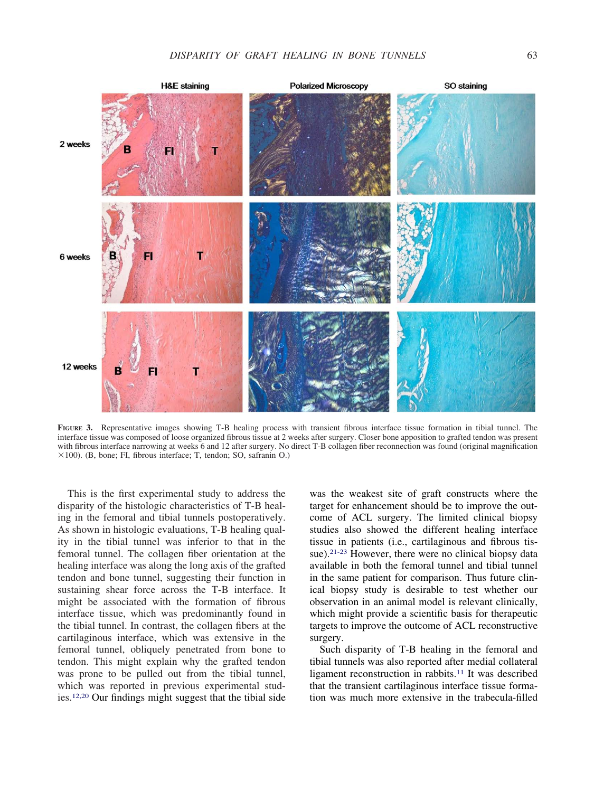

**FIGURE 3.** Representative images showing T-B healing process with transient fibrous interface tissue formation in tibial tunnel. The interface tissue was composed of loose organized fibrous tissue at 2 weeks after surgery. Closer bone apposition to grafted tendon was present with fibrous interface narrowing at weeks 6 and 12 after surgery. No direct T-B collagen fiber reconnection was found (original magnification  $\times$ 100). (B, bone; FI, fibrous interface; T, tendon; SO, safranin O.)

This is the first experimental study to address the disparity of the histologic characteristics of T-B healing in the femoral and tibial tunnels postoperatively. As shown in histologic evaluations, T-B healing quality in the tibial tunnel was inferior to that in the femoral tunnel. The collagen fiber orientation at the healing interface was along the long axis of the grafted tendon and bone tunnel, suggesting their function in sustaining shear force across the T-B interface. It might be associated with the formation of fibrous interface tissue, which was predominantly found in the tibial tunnel. In contrast, the collagen fibers at the cartilaginous interface, which was extensive in the femoral tunnel, obliquely penetrated from bone to tendon. This might explain why the grafted tendon was prone to be pulled out from the tibial tunnel, which was reported in previous experimental studies.12,20 Our findings might suggest that the tibial side was the weakest site of graft constructs where the target for enhancement should be to improve the outcome of ACL surgery. The limited clinical biopsy studies also showed the different healing interface tissue in patients (i.e., cartilaginous and fibrous tissue).<sup>21-23</sup> However, there were no clinical biopsy data available in both the femoral tunnel and tibial tunnel in the same patient for comparison. Thus future clinical biopsy study is desirable to test whether our observation in an animal model is relevant clinically, which might provide a scientific basis for therapeutic targets to improve the outcome of ACL reconstructive surgery.

Such disparity of T-B healing in the femoral and tibial tunnels was also reported after medial collateral ligament reconstruction in rabbits.11 It was described that the transient cartilaginous interface tissue formation was much more extensive in the trabecula-filled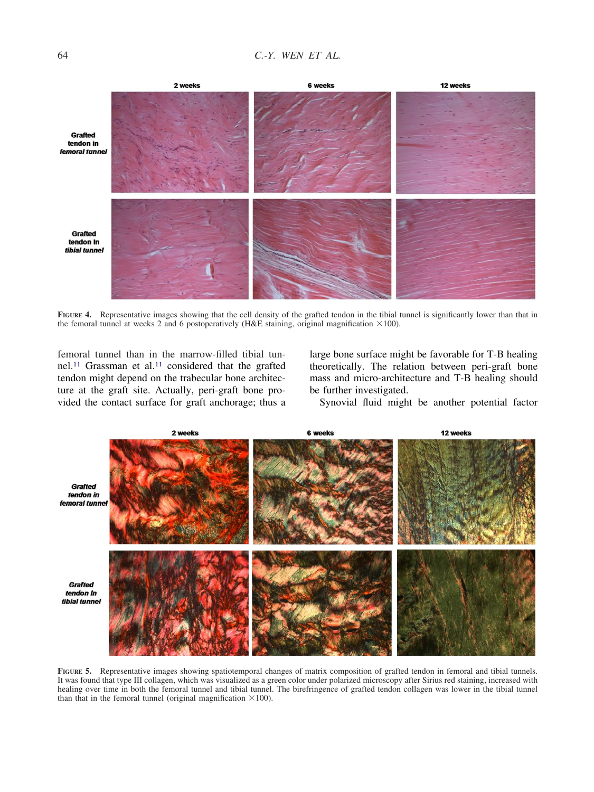2 weeks **6 weeks** 12 weeks Grafted tendon in femoral tunnel **Grafted** tendon In tibial tunnel

**FIGURE 4.** Representative images showing that the cell density of the grafted tendon in the tibial tunnel is significantly lower than that in the femoral tunnel at weeks 2 and 6 postoperatively (H&E staining, original magnification  $\times$ 100).

femoral tunnel than in the marrow-filled tibial tunnel.11 Grassman et al.11 considered that the grafted tendon might depend on the trabecular bone architecture at the graft site. Actually, peri-graft bone provided the contact surface for graft anchorage; thus a large bone surface might be favorable for T-B healing theoretically. The relation between peri-graft bone mass and micro-architecture and T-B healing should be further investigated.

Synovial fluid might be another potential factor

**FIGURE 5.** Representative images showing spatiotemporal changes of matrix composition of grafted tendon in femoral and tibial tunnels. It was found that type III collagen, which was visualized as a green color under polarized microscopy after Sirius red staining, increased with healing over time in both the femoral tunnel and tibial tunnel. The birefringence of grafted tendon collagen was lower in the tibial tunnel than that in the femoral tunnel (original magnification  $\times 100$ ).

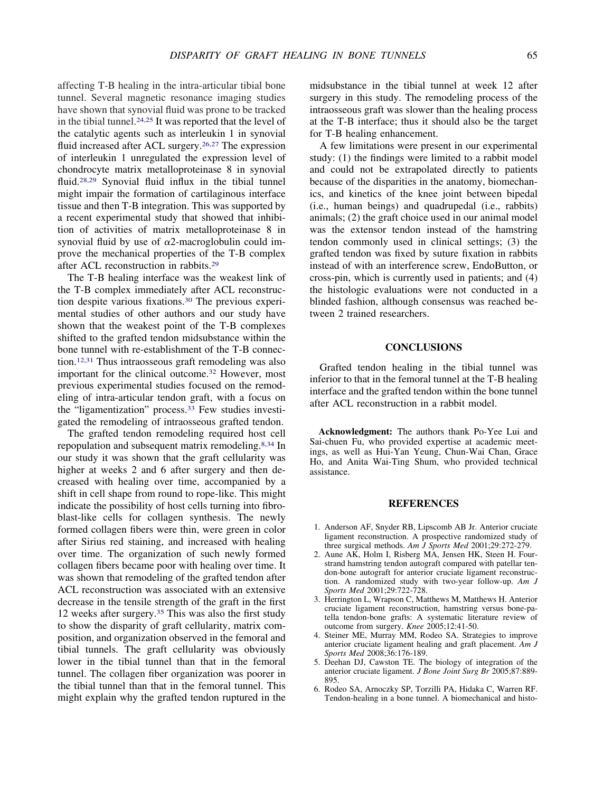affecting T-B healing in the intra-articular tibial bone tunnel. Several magnetic resonance imaging studies have shown that synovial fluid was prone to be tracked in the tibial tunnel.24,25 It was reported that the level of the catalytic agents such as interleukin 1 in synovial fluid increased after ACL surgery.<sup>26,27</sup> The expression of interleukin 1 unregulated the expression level of chondrocyte matrix metalloproteinase 8 in synovial fluid.28,29 Synovial fluid influx in the tibial tunnel might impair the formation of cartilaginous interface tissue and then T-B integration. This was supported by a recent experimental study that showed that inhibition of activities of matrix metalloproteinase 8 in synovial fluid by use of  $\alpha$ 2-macroglobulin could improve the mechanical properties of the T-B complex after ACL reconstruction in rabbits.29

The T-B healing interface was the weakest link of the T-B complex immediately after ACL reconstruction despite various fixations.30 The previous experimental studies of other authors and our study have shown that the weakest point of the T-B complexes shifted to the grafted tendon midsubstance within the bone tunnel with re-establishment of the T-B connection.12,31 Thus intraosseous graft remodeling was also important for the clinical outcome.32 However, most previous experimental studies focused on the remodeling of intra-articular tendon graft, with a focus on the "ligamentization" process.<sup>33</sup> Few studies investigated the remodeling of intraosseous grafted tendon.

The grafted tendon remodeling required host cell repopulation and subsequent matrix remodeling.8,34 In our study it was shown that the graft cellularity was higher at weeks 2 and 6 after surgery and then decreased with healing over time, accompanied by a shift in cell shape from round to rope-like. This might indicate the possibility of host cells turning into fibroblast-like cells for collagen synthesis. The newly formed collagen fibers were thin, were green in color after Sirius red staining, and increased with healing over time. The organization of such newly formed collagen fibers became poor with healing over time. It was shown that remodeling of the grafted tendon after ACL reconstruction was associated with an extensive decrease in the tensile strength of the graft in the first 12 weeks after surgery.35 This was also the first study to show the disparity of graft cellularity, matrix composition, and organization observed in the femoral and tibial tunnels. The graft cellularity was obviously lower in the tibial tunnel than that in the femoral tunnel. The collagen fiber organization was poorer in the tibial tunnel than that in the femoral tunnel. This might explain why the grafted tendon ruptured in the

midsubstance in the tibial tunnel at week 12 after surgery in this study. The remodeling process of the intraosseous graft was slower than the healing process at the T-B interface; thus it should also be the target for T-B healing enhancement.

A few limitations were present in our experimental study: (1) the findings were limited to a rabbit model and could not be extrapolated directly to patients because of the disparities in the anatomy, biomechanics, and kinetics of the knee joint between bipedal (i.e., human beings) and quadrupedal (i.e., rabbits) animals; (2) the graft choice used in our animal model was the extensor tendon instead of the hamstring tendon commonly used in clinical settings; (3) the grafted tendon was fixed by suture fixation in rabbits instead of with an interference screw, EndoButton, or cross-pin, which is currently used in patients; and (4) the histologic evaluations were not conducted in a blinded fashion, although consensus was reached between 2 trained researchers.

## **CONCLUSIONS**

Grafted tendon healing in the tibial tunnel was inferior to that in the femoral tunnel at the T-B healing interface and the grafted tendon within the bone tunnel after ACL reconstruction in a rabbit model.

**Acknowledgment:** The authors thank Po-Yee Lui and Sai-chuen Fu, who provided expertise at academic meetings, as well as Hui-Yan Yeung, Chun-Wai Chan, Grace Ho, and Anita Wai-Ting Shum, who provided technical assistance.

#### **REFERENCES**

- 1. Anderson AF, Snyder RB, Lipscomb AB Jr. Anterior cruciate ligament reconstruction. A prospective randomized study of three surgical methods. *Am J Sports Med* 2001;29:272-279.
- 2. Aune AK, Holm I, Risberg MA, Jensen HK, Steen H. Fourstrand hamstring tendon autograft compared with patellar tendon-bone autograft for anterior cruciate ligament reconstruction. A randomized study with two-year follow-up. *Am J Sports Med* 2001;29:722-728.
- 3. Herrington L, Wrapson C, Matthews M, Matthews H. Anterior cruciate ligament reconstruction, hamstring versus bone-patella tendon-bone grafts: A systematic literature review of outcome from surgery. *Knee* 2005;12:41-50.
- 4. Steiner ME, Murray MM, Rodeo SA. Strategies to improve anterior cruciate ligament healing and graft placement. *Am J Sports Med* 2008;36:176-189.
- 5. Deehan DJ, Cawston TE. The biology of integration of the anterior cruciate ligament. *J Bone Joint Surg Br* 2005;87:889- 895.
- 6. Rodeo SA, Arnoczky SP, Torzilli PA, Hidaka C, Warren RF. Tendon-healing in a bone tunnel. A biomechanical and histo-